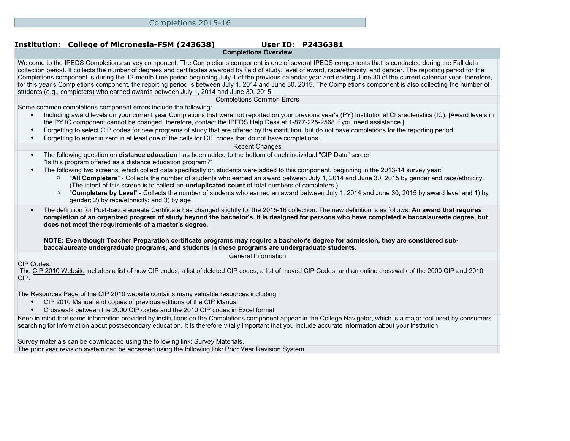# **Institution: College of Micronesia-FSM (243638) User ID: P2436381**

**Completions Overview**

Welcome to the IPEDS Completions survey component. The Completions component is one of several IPEDS components that is conducted during the Fall data collection period. It collects the number of degrees and certificates awarded by field of study, level of award, race/ethnicity, and gender. The reporting period for the Completions component is during the 12-month time period beginning July 1 of the previous calendar year and ending June 30 of the current calendar year; therefore, for this year's Completions component, the reporting period is between July 1, 2014 and June 30, 2015. The Completions component is also collecting the number of students (e.g., completers) who earned awards between July 1, 2014 and June 30, 2015.

Completions Common Errors

Some common completions component errors include the following:

- Including award levels on your current year Completions that were not reported on your previous year's (PY) Institutional Characteristics (IC). [Award levels in the PY IC component cannot be changed; therefore, contact the IPEDS Help Desk at 1-877-225-2568 if you need assistance.]
- Forgetting to select CIP codes for new programs of study that are offered by the institution, but do not have completions for the reporting period.
- Forgetting to enter in zero in at least one of the cells for CIP codes that do not have completions.

#### Recent Changes

- The following question on **distance education** has been added to the bottom of each individual "CIP Data" screen: "Is this program offered as a distance education program?"
- The following two screens, which collect data specifically on students were added to this component, beginning in the 2013-14 survey year:
	- "**All Completers**" Collects the number of students who earned an award between July 1, 2014 and June 30, 2015 by gender and race/ethnicity. (The intent of this screen is to collect an **unduplicated count** of total numbers of completers.)
	- "**Completers by Level**" Collects the number of students who earned an award between July 1, 2014 and June 30, 2015 by award level and 1) by gender; 2) by race/ethnicity; and 3) by age.
- The definition for Post-baccalaureate Certificate has changed slightly for the 2015-16 collection. The new definition is as follows: **An award that requires completion of an organized program of study beyond the bachelor's. It is designed for persons who have completed a baccalaureate degree, but does not meet the requirements of a master's degree.**

**NOTE: Even though Teacher Preparation certificate programs may require a bachelor's degree for admission, they are considered subbaccalaureate undergraduate programs, and students in these programs are undergraduate students.**

General Information

### CIP Codes:

 The [CIP 2010 Website](http://nces.ed.gov/ipeds/cipcode) includes a list of new CIP codes, a list of deleted CIP codes, a list of moved CIP Codes, and an online crosswalk of the 2000 CIP and 2010 CIP.

The [Resources Page](http://nces.ed.gov/ipeds/cipcode/resources.aspx?y=55) of the CIP 2010 website contains many valuable resources including:

- CIP 2010 Manual and copies of previous editions of the CIP Manual
- Crosswalk between the 2000 CIP codes and the 2010 CIP codes in Excel format

Keep in mind that some information provided by institutions on the Completions component appear in the [College Navigator](http://collegenavigator.ed.gov), which is a major tool used by consumers searching for information about postsecondary education. It is therefore vitally important that you include accurate information about your institution.

Survey materials can be downloaded using the following link: [Survey Materials.](https://surveys.nces.ed.gov/ipeds/VisIndex.aspx) The prior year revision system can be accessed using the following link: [Prior Year Revision System](http://192.168.102.89/IPEDS/PriorYearDataRedirect.aspx?survey_id=10)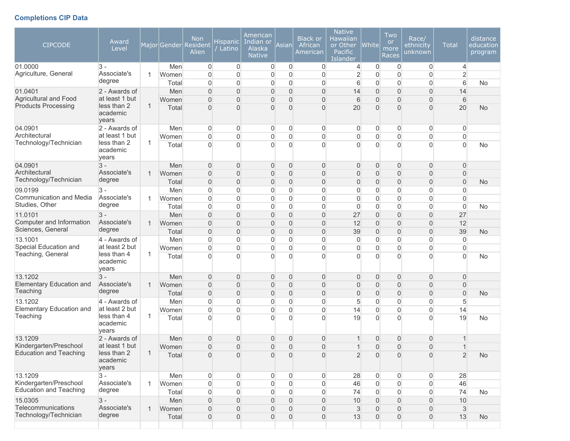# **Completions CIP Data**

| <b>CIPCODE</b>                              | Award<br>Level                   |              | Major Gender | <b>Non</b><br>Resident<br>Alien  | <b>Hispanic</b><br>Latino | American<br>Indian or<br>Alaska<br><b>Native</b> | Asian                            | <b>Black or</b><br>African<br>American | <b>Native</b><br>Hawaiian<br>or Other<br><b>Pacific</b><br>Islander | White                            | Two<br><b>or</b><br>more<br>Races | Race/<br><u>et</u> hnicity<br>unknown | <b>Total</b>          | distance<br>education<br>program |
|---------------------------------------------|----------------------------------|--------------|--------------|----------------------------------|---------------------------|--------------------------------------------------|----------------------------------|----------------------------------------|---------------------------------------------------------------------|----------------------------------|-----------------------------------|---------------------------------------|-----------------------|----------------------------------|
| 01.0000                                     | $3 -$                            |              | Men          | $\overline{0}$                   | $\mathbf 0$               | $\overline{0}$                                   | $\mathbf 0$                      | 0                                      | 4                                                                   | $\Omega$                         | $\mathbf 0$                       | $\overline{0}$                        | 4                     |                                  |
| Agriculture, General                        | Associate's<br>degree            | -1           | Women        | $\overline{0}$                   | 0                         | $\overline{0}$                                   | 0                                | $\overline{0}$                         | $\overline{2}$                                                      | $\Omega$                         | $\overline{0}$                    | 0                                     | $\overline{2}$        |                                  |
|                                             |                                  |              | Total        | $\overline{0}$                   | 0                         | $\Omega$                                         | $\overline{0}$                   | $\overline{0}$                         | 6                                                                   | $\Omega$                         | $\overline{0}$                    | 0                                     | 6                     | <b>No</b>                        |
| 01.0401<br>Agricultural and Food            | 2 - Awards of<br>at least 1 but  |              | Men<br>Women | $\overline{0}$<br>$\overline{0}$ | $\mathsf{O}\xspace$<br>0  | 0<br>0                                           | $\overline{0}$<br>$\overline{0}$ | $\overline{0}$<br>$\overline{0}$       | 14<br>6                                                             | $\overline{0}$<br>$\overline{0}$ | $\overline{0}$<br>$\overline{0}$  | $\overline{0}$<br>$\overline{0}$      | 14<br>$6\phantom{1}6$ |                                  |
| <b>Products Processing</b>                  | less than 2                      | 1            | Total        | $\overline{0}$                   | $\mathbf 0$               | $\Omega$                                         | $\overline{0}$                   | $\overline{0}$                         | 20                                                                  | $\Omega$                         | $\Omega$                          | $\overline{0}$                        | 20                    | <b>No</b>                        |
|                                             | academic<br>years                |              |              |                                  |                           |                                                  |                                  |                                        |                                                                     |                                  |                                   |                                       |                       |                                  |
| 04.0901                                     | 2 - Awards of                    |              | Men          | 0                                | $\boldsymbol{0}$          | $\overline{0}$                                   | 0                                | 0                                      | 0                                                                   | $\overline{0}$                   | $\mathbf 0$                       | 0                                     | 0                     |                                  |
| Architectural                               | at least 1 but                   |              | Women        | $\mathbf 0$                      | 0                         | 0                                                | 0                                | $\mathbf 0$                            | $\overline{0}$                                                      | $\overline{0}$                   | $\boldsymbol{0}$                  | 0                                     | $\mathbf 0$           |                                  |
| Technology/Technician                       | less than 2<br>academic<br>years | 1            | Total        | $\overline{0}$                   | $\overline{0}$            | $\Omega$                                         | $\overline{0}$                   | $\Omega$                               | $\Omega$                                                            | $\Omega$                         | $\overline{0}$                    | $\Omega$                              | $\overline{0}$        | No                               |
| 04.0901                                     | $3 -$                            |              | Men          | $\overline{0}$                   | 0                         | $\Omega$                                         | 0                                | $\mathbf{0}$                           | $\overline{0}$                                                      | $\overline{0}$                   | $\overline{0}$                    | 0                                     | $\mathbf{0}$          |                                  |
| Architectural                               | Associate's                      | 1            | Women        | $\overline{0}$                   | 0                         | 0                                                | $\overline{0}$                   | $\boldsymbol{0}$                       | 0                                                                   | $\mathbf{0}$                     | $\overline{0}$                    | 0                                     | $\mathbf 0$           |                                  |
| Technology/Technician                       | degree                           |              | Total        | $\overline{0}$                   | $\mathsf{O}\xspace$       | 0                                                | $\boldsymbol{0}$                 | $\overline{0}$                         | $\overline{0}$                                                      | $\mathbf{0}$                     | $\overline{0}$                    | 0                                     | $\overline{0}$        | <b>No</b>                        |
| 09.0199                                     | 3 -                              |              | Men          | $\overline{0}$                   | $\overline{0}$            | $\Omega$                                         | $\overline{0}$                   | $\Omega$                               | $\overline{0}$                                                      | $\Omega$                         | 0                                 | 0                                     | 0                     |                                  |
| Communication and Media<br>Studies, Other   | Associate's<br>degree            |              | Women        | $\overline{0}$                   | $\overline{0}$            | $\Omega$                                         | $\overline{0}$                   | $\overline{0}$                         | $\overline{0}$                                                      | $\overline{0}$                   | $\overline{0}$                    | $\overline{0}$                        | $\overline{0}$        |                                  |
|                                             |                                  |              | Total        | $\overline{0}$                   | $\overline{0}$            | 0                                                | $\overline{0}$                   | $\overline{0}$                         | $\overline{0}$                                                      | $\overline{0}$                   | $\overline{0}$                    | $\overline{0}$                        | $\overline{0}$        | No                               |
| 11.0101<br>Computer and Information         | $3 -$<br>Associate's             | $\mathbf 1$  | Men<br>Women | $\mathbf 0$                      | 0                         | 0<br>0                                           | $\overline{0}$<br>$\overline{0}$ | $\mathbf 0$<br>$\overline{0}$          | 27<br>12                                                            | $\overline{0}$<br>$\overline{0}$ | $\overline{0}$<br>$\overline{0}$  | 0                                     | 27<br>12              |                                  |
| Sciences, General                           | degree                           |              | Total        | $\boldsymbol{0}$<br>$\mathbf 0$  | 0<br>0                    | 0                                                | 0                                | $\overline{0}$                         | 39                                                                  | $\overline{0}$                   | $\overline{0}$                    | $\boldsymbol{0}$<br>0                 | 39                    | <b>No</b>                        |
| 13.1001                                     | 4 - Awards of                    |              | Men          | $\mathbf 0$                      | 0                         | 0                                                | 0                                | $\overline{0}$                         | $\overline{0}$                                                      | $\overline{0}$                   | $\mathbf 0$                       | 0                                     | $\boldsymbol{0}$      |                                  |
| Special Education and                       | at least 2 but                   |              | Women        | $\overline{0}$                   | 0                         | 0                                                | 0                                | $\overline{0}$                         | $\overline{0}$                                                      | $\Omega$                         | $\overline{0}$                    | $\overline{0}$                        | $\Omega$              |                                  |
| Teaching, General                           | less than 4<br>academic<br>years | 1            | Total        | $\Omega$                         | $\overline{0}$            | $\Omega$                                         | $\Omega$                         | $\Omega$                               | $\overline{0}$                                                      | $\Omega$                         | $\Omega$                          | $\overline{0}$                        | $\Omega$              | No                               |
| 13.1202                                     | $3 -$                            |              | Men          | $\overline{0}$                   | 0                         | $\mathbf{0}$                                     | $\mathbf 0$                      | $\mathbf 0$                            | $\overline{0}$                                                      | $\overline{0}$                   | $\overline{0}$                    | 0                                     | $\mathbf{0}$          |                                  |
| <b>Elementary Education and</b>             | Associate's                      | 1            | Women        | $\overline{0}$                   | $\mathsf{O}\xspace$       | 0                                                | $\overline{0}$                   | $\overline{0}$                         | $\overline{0}$                                                      | $\overline{0}$                   | $\overline{0}$                    | $\overline{0}$                        | $\overline{0}$        |                                  |
| Teaching                                    | degree                           |              | Total        | $\overline{0}$                   | 0                         | 0                                                | $\overline{0}$                   | $\overline{0}$                         | $\overline{0}$                                                      | $\overline{0}$                   | $\overline{0}$                    | $\overline{0}$                        | $\overline{0}$        | <b>No</b>                        |
| 13.1202                                     | 4 - Awards of                    |              | Men          | $\overline{0}$                   | 0                         | 0                                                | $\overline{0}$                   | $\overline{0}$                         | 5                                                                   | $\overline{0}$                   | $\overline{0}$                    | 0                                     | 5                     |                                  |
| <b>Elementary Education and</b><br>Teaching | at least 2 but<br>less than 4    | 1            | Women        | 0                                | 0                         | 0                                                | 0                                | $\overline{0}$                         | 14                                                                  | $\overline{0}$                   | $\overline{0}$                    | 0                                     | 14                    |                                  |
|                                             | academic<br>years                |              | Total        | $\Omega$                         | $\overline{0}$            | $\Omega$                                         | $\Omega$                         | $\Omega$                               | 19                                                                  | $\Omega$                         | $\Omega$                          | $\overline{0}$                        | 19                    | <b>No</b>                        |
| 13.1209                                     | 2 - Awards of                    |              | Men          | $\overline{0}$                   | $\mathsf{O}\xspace$       | 0                                                | 0                                | $\overline{0}$                         |                                                                     | $\Omega$                         | $\overline{0}$                    | 0                                     | 1                     |                                  |
| Kindergarten/Preschool                      | at least 1 but                   |              | Women        | $\overline{0}$                   | 0                         | 0                                                | $\overline{0}$                   | $\overline{0}$                         | 1                                                                   | $\overline{0}$                   | $\overline{0}$                    | 0                                     | $\mathbf 1$           |                                  |
| <b>Education and Teaching</b>               | less than 2<br>academic<br>years |              | Total        | $\overline{0}$                   | 0                         | 0                                                | $\mathbf{0}$                     | $\mathsf{O}\xspace$                    | $\overline{2}$                                                      | $\overline{0}$                   | $\mathsf{O}\xspace$               | $\overline{0}$                        | $\overline{2}$        | <b>No</b>                        |
| 13.1209                                     | $3 -$                            |              | Men          | 0                                | $\boldsymbol{0}$          | $\overline{0}$                                   | $\overline{0}$                   | $\overline{0}$                         | 28                                                                  | $\overline{0}$                   | $\overline{0}$                    | $\overline{0}$                        | 28                    |                                  |
| Kindergarten/Preschool                      | Associate's                      |              | Women        | 0                                | $\mathsf{O}\xspace$       | $\boldsymbol{0}$                                 | 0                                | 0                                      | 46                                                                  | $\mathsf{O}\xspace$              | $\boldsymbol{0}$                  | 0                                     | 46                    |                                  |
| <b>Education and Teaching</b>               | degree                           |              | Total        | $\mathsf{O}\xspace$              | $\mathsf{O}\xspace$       | $\overline{0}$                                   | $\overline{0}$                   | 0                                      | 74                                                                  | $\mathsf{O}\xspace$              | $\boldsymbol{0}$                  | $\overline{0}$                        | 74                    | No                               |
| 15.0305                                     | $3 -$                            |              | Men          | $\mathsf{O}\xspace$              | $\mathsf{O}\xspace$       | 0                                                | $\overline{0}$                   | $\mathbf 0$                            | 10                                                                  | $\overline{0}$                   | $\boldsymbol{0}$                  | 0                                     | 10                    |                                  |
| Telecommunications<br>Technology/Technician | Associate's                      | $\mathbf{1}$ | Women        | $\mathsf{O}\xspace$              | $\mathsf{O}\xspace$       | 0                                                | 0                                | $\boldsymbol{0}$                       | $\mathfrak{S}$                                                      | $\boldsymbol{0}$                 | $\boldsymbol{0}$                  | 0                                     | $\sqrt{3}$            |                                  |
|                                             | degree                           |              | Total        | $\mathsf{O}\xspace$              | $\mathsf{O}\xspace$       | $\boldsymbol{0}$                                 | 0                                | $\mathsf{O}\xspace$                    | 13                                                                  | $\overline{0}$                   | $\boldsymbol{0}$                  | $\mathsf{O}\xspace$                   | 13                    | No                               |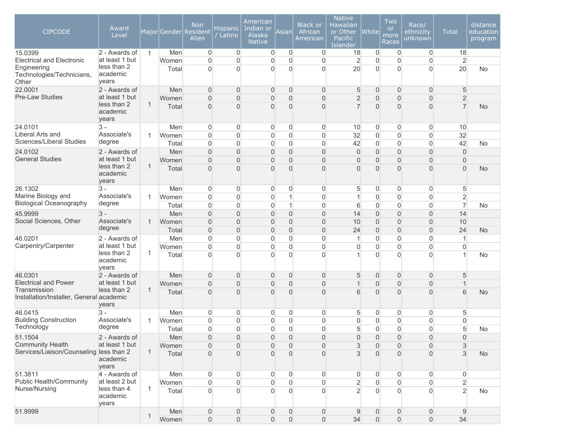| <b>CIPCODE</b>                                                                        | Award<br>Level                                               |              |                | Non<br>Major Gender Resident<br>Alien | Hispanic<br>/ Latino                    | American<br>Indian or<br>Alaska<br><b>Native</b> | Asianl                           | <b>Black or</b><br>African<br>American | <b>Native</b><br>Hawaiian<br>or Other<br>Pacific<br><b>Islander</b> | <b>White</b>               | Two<br><b>or</b><br>more<br>Races | Race/<br>ethnicity<br>unknown    | <b>Total</b>                     | distance<br>education<br>program |
|---------------------------------------------------------------------------------------|--------------------------------------------------------------|--------------|----------------|---------------------------------------|-----------------------------------------|--------------------------------------------------|----------------------------------|----------------------------------------|---------------------------------------------------------------------|----------------------------|-----------------------------------|----------------------------------|----------------------------------|----------------------------------|
| 15.0399                                                                               | 2 - Awards of                                                | $\mathbf{1}$ | Men            | $\overline{0}$                        | $\mathbf 0$                             | $\overline{0}$                                   | $\overline{0}$                   | $\overline{0}$                         | 18                                                                  | $\overline{0}$             | $\overline{0}$                    | $\overline{0}$                   | 18                               |                                  |
| <b>Electrical and Electronic</b><br>Engineering<br>Technologies/Technicians,<br>Other | at least 1 but<br>less than 2<br>academic<br>years           |              | Women<br>Total | $\mathbf 0$<br>$\overline{0}$         | $\boldsymbol{0}$<br>$\overline{0}$      | $\overline{0}$<br>$\Omega$                       | $\mathbf 0$<br>0                 | $\mathbf 0$<br>0                       | $\overline{2}$<br>20                                                | $\overline{0}$<br>$\Omega$ | $\Omega$<br>$\Omega$              | $\overline{0}$<br>$\overline{0}$ | $\overline{2}$<br>20             | <b>No</b>                        |
| 22.0001                                                                               | 2 - Awards of                                                |              | Men            | $\overline{0}$                        | $\mathbf 0$                             | $\overline{0}$                                   | $\mathbf 0$                      | $\overline{0}$                         | 5                                                                   | $\overline{0}$             | $\mathbf{0}$                      | $\overline{0}$                   | 5                                |                                  |
| <b>Pre-Law Studies</b>                                                                | at least 1 but<br>less than 2<br>academic<br>years           | $\mathbf{1}$ | Women<br>Total | $\overline{0}$<br>$\overline{0}$      | $\boldsymbol{0}$<br>$\overline{0}$      | $\overline{0}$<br>$\Omega$                       | $\overline{0}$<br>$\overline{0}$ | $\overline{0}$<br>$\overline{0}$       | $\overline{2}$<br>$\overline{7}$                                    | $\overline{0}$<br>$\Omega$ | $\mathbf{0}$<br>$\Omega$          | $\overline{0}$<br>$\overline{0}$ | $\overline{2}$<br>$\overline{7}$ | <b>No</b>                        |
| 24.0101                                                                               | $3 -$                                                        |              | Men            | $\overline{0}$                        | $\mathbf 0$                             | $\overline{0}$                                   | $\overline{0}$                   | 0                                      | 10                                                                  | $\overline{0}$             | 0                                 | 0                                | 10                               |                                  |
| Liberal Arts and<br>Sciences/Liberal Studies                                          | Associate's                                                  | 1            | Women          | $\mathbf 0$                           | $\mathsf{O}\xspace$                     | $\overline{0}$                                   | $\mathbf 0$                      | $\mathbf 0$                            | 32                                                                  | $\overline{0}$             | $\overline{0}$                    | $\overline{0}$                   | 32                               |                                  |
|                                                                                       | degree                                                       |              | Total          | $\mathbf 0$                           | $\mathsf{O}\xspace$                     | 0                                                | $\mathbf 0$                      | $\mathbf 0$                            | 42                                                                  | $\Omega$                   | $\overline{0}$                    | $\overline{0}$                   | 42                               | <b>No</b>                        |
| 24.0102                                                                               | 2 - Awards of                                                |              | Men            | $\overline{0}$                        | $\boldsymbol{0}$                        | $\Omega$                                         | $\overline{0}$                   | $\overline{0}$                         | $\overline{0}$                                                      | $\Omega$                   | $\Omega$                          | $\overline{0}$                   | $\overline{0}$                   |                                  |
| <b>General Studies</b>                                                                | at least 1 but<br>less than 2<br>academic<br>years           | $\mathbf{1}$ | Women<br>Total | $\overline{0}$<br>0                   | $\boldsymbol{0}$<br>$\overline{0}$      | $\overline{0}$<br>$\Omega$                       | $\overline{0}$<br>$\overline{0}$ | $\overline{0}$<br>$\overline{0}$       | 0<br>$\overline{0}$                                                 | $\overline{0}$<br>$\Omega$ | $\Omega$<br>$\overline{0}$        | $\overline{0}$<br>$\overline{0}$ | $\overline{0}$<br>$\overline{0}$ | <b>No</b>                        |
| 26.1302                                                                               | 3 -                                                          |              | Men            | 0                                     | $\boldsymbol{0}$                        | $\Omega$                                         | $\mathbf 0$                      | $\overline{0}$                         | 5                                                                   | $\Omega$                   | 0                                 | $\mathbf{0}$                     | 5                                |                                  |
| Marine Biology and                                                                    | Associate's                                                  | 1            | Women          | $\overline{0}$                        | $\boldsymbol{0}$                        | $\overline{0}$                                   | 1                                | $\mathbf 0$                            | 1                                                                   | $\Omega$                   | $\overline{0}$                    | $\overline{0}$                   | $\overline{2}$                   |                                  |
| <b>Biological Oceanography</b>                                                        | degree                                                       |              | Total          | 0                                     | $\boldsymbol{0}$                        | $\overline{0}$                                   | 1                                | $\mathbf 0$                            | 6                                                                   | $\overline{0}$             | $\overline{0}$                    | $\boldsymbol{0}$                 | $\overline{7}$                   | <b>No</b>                        |
| 45.9999<br>Social Sciences, Other                                                     | $3 -$                                                        |              | Men            | $\boldsymbol{0}$                      | $\mathsf{O}\xspace$                     | $\overline{0}$                                   | $\boldsymbol{0}$                 | $\mathbf 0$                            | 14                                                                  | $\overline{0}$             | $\overline{0}$                    | $\boldsymbol{0}$                 | 14                               |                                  |
|                                                                                       | Associate's<br>degree                                        | 1            | Women          | $\boldsymbol{0}$                      | $\boldsymbol{0}$<br>$\mathsf{O}\xspace$ | $\overline{0}$                                   | $\overline{0}$<br>$\overline{0}$ | $\overline{0}$<br>$\overline{0}$       | 10<br>24                                                            | $\overline{0}$             | $\overline{0}$<br>$\overline{0}$  | $\boldsymbol{0}$                 | 10<br>24                         |                                  |
| 46.0201                                                                               | 2 - Awards of                                                |              | Total<br>Men   | $\mathbf 0$<br>$\mathsf{O}\xspace$    | $\boldsymbol{0}$                        | $\overline{0}$<br>0                              | $\mathbf 0$                      | $\mathbf 0$                            | 1                                                                   | $\overline{0}$<br>$\Omega$ | $\mathbf 0$                       | $\mathbf 0$<br>$\overline{0}$    | 1                                | <b>No</b>                        |
| Carpentry/Carpenter                                                                   | at least 1 but                                               |              | Women          | $\mathbf 0$                           | $\boldsymbol{0}$                        | $\overline{0}$                                   | $\overline{0}$                   | $\mathbf 0$                            | $\overline{0}$                                                      | $\overline{0}$             | $\Omega$                          | $\overline{0}$                   | $\overline{0}$                   |                                  |
|                                                                                       | less than 2<br>academic<br>years                             | $\mathbf{1}$ | Total          | $\Omega$                              | $\Omega$                                | $\Omega$                                         | 0                                | $\Omega$                               |                                                                     | $\Omega$                   | $\Omega$                          | $\Omega$                         |                                  | No                               |
| 46.0301                                                                               | 2 - Awards of                                                |              | Men            | $\overline{0}$                        | $\mathbf 0$                             | $\overline{0}$                                   | $\mathbf 0$                      | $\overline{0}$                         | 5                                                                   | $\overline{0}$             | $\mathbf{0}$                      | $\overline{0}$                   | 5                                |                                  |
| <b>Electrical and Power</b>                                                           | at least 1 but                                               |              | Women          | 0                                     | $\boldsymbol{0}$                        | $\overline{0}$                                   | $\overline{0}$                   | $\overline{0}$                         | 1                                                                   | $\Omega$                   | $\overline{0}$                    | $\overline{0}$                   |                                  |                                  |
| Transmission<br>Installation/Installer, General academic                              | less than 2<br>years                                         | -1           | Total          | 0                                     | $\overline{0}$                          | $\Omega$                                         | $\overline{0}$                   | $\overline{0}$                         | 6                                                                   | $\Omega$                   | $\Omega$                          | $\overline{0}$                   | 6                                | <b>No</b>                        |
| 46.0415                                                                               | $3 -$                                                        |              | Men            | 0                                     | $\mathbf 0$                             | $\mathbf{0}$                                     | $\mathbf 0$                      | 0                                      | 5                                                                   | $\overline{0}$             | 0                                 | 0                                | 5                                |                                  |
| <b>Building Construction</b>                                                          | Associate's                                                  | 1            | Women          | $\mathsf{O}\xspace$                   | $\boldsymbol{0}$                        | 0                                                | 0                                | $\overline{0}$                         | $\overline{0}$                                                      | $\Omega$                   | $\overline{0}$                    | $\overline{0}$                   | $\mathbf 0$                      |                                  |
| Technology                                                                            | degree                                                       |              | Total          | $\overline{0}$                        | $\overline{0}$                          | $\overline{0}$                                   | 0                                | $\overline{0}$                         | 5                                                                   | $\overline{0}$             | $\Omega$                          | $\mathbf{0}$                     | 5                                | <b>No</b>                        |
| 51.1504                                                                               | 2 - Awards of                                                |              | Men            | $\overline{0}$                        | $\mathsf{O}\xspace$                     | $\overline{0}$                                   | $\mathbf 0$                      | $\mathbf 0$                            | $\overline{0}$                                                      | $\overline{0}$             | $\mathbf 0$                       | $\mathbf 0$                      | 0                                |                                  |
| <b>Community Health</b>                                                               | at least 1 but                                               | $\mathbf{1}$ | Women          | $\mathbf 0$                           | $\mathbf{0}$                            | $\overline{0}$                                   | $\overline{0}$                   | $\overline{0}$                         | 3                                                                   | $\overline{0}$             | 0                                 | $\mathbf 0$                      | 3                                |                                  |
|                                                                                       | Services/Liaison/Counseling less than 2<br>academic<br>years |              | Total          | 0                                     | $\overline{0}$                          | $\Omega$                                         | $\Omega$                         | $\Omega$                               | 3                                                                   | $\Omega$                   | $\Omega$                          | $\overline{0}$                   | 3                                | <b>No</b>                        |
| 51.3811                                                                               | 4 - Awards of                                                |              | Men            | $\overline{0}$                        | $\mathbf 0$                             | 0                                                | 0                                | $\overline{0}$                         | $\overline{0}$                                                      | $\Omega$                   | 0                                 | $\overline{0}$                   | $\overline{0}$                   |                                  |
| Public Health/Community<br>Nurse/Nursing                                              | at least 2 but<br>less than 4                                |              | Women          | 0                                     | $\mathsf{O}\xspace$                     | 0                                                | 0                                | $\overline{0}$                         | $\overline{2}$                                                      | $\Omega$                   | $\overline{0}$                    | $\boldsymbol{0}$                 | $\overline{2}$                   |                                  |
|                                                                                       | academic<br>years                                            | $\mathbf{1}$ | Total          | $\overline{0}$                        | $\mathsf{O}\xspace$                     | $\Omega$                                         | $\mathbf{0}$                     | $\overline{0}$                         | $\overline{2}$                                                      | $\Omega$                   | $\Omega$                          | $\overline{0}$                   | $\overline{2}$                   | No                               |
| 51.9999                                                                               |                                                              | $\mathbf{1}$ | Men            | $\mathsf{O}\xspace$                   | $\mathsf{O}\xspace$                     | $\boldsymbol{0}$                                 | $\boldsymbol{0}$                 | $\mathsf{O}\xspace$                    | $9\,$                                                               | $\overline{0}$             | $\boldsymbol{0}$                  | $\mathsf{O}\xspace$              | $9$                              |                                  |
|                                                                                       |                                                              |              | Women          | $\mathsf{O}\xspace$                   | $\mathsf{O}\xspace$                     | $\boldsymbol{0}$                                 | $\boldsymbol{0}$                 | $\mathsf{O}\xspace$                    | 34                                                                  | $\boldsymbol{0}$           | $\mathbf 0$                       | $\mathsf{O}\xspace$              | 34                               |                                  |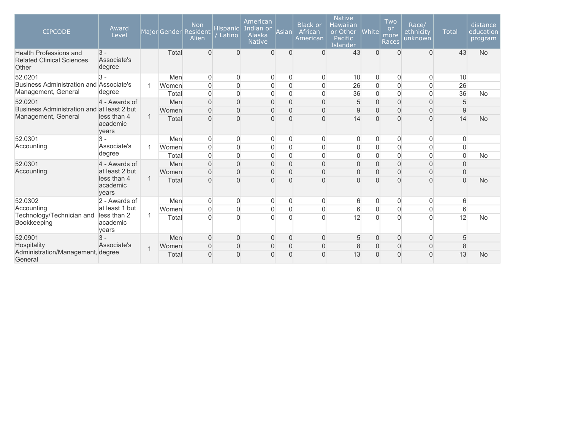| <b>CIPCODE</b>                                                       | Award<br>Level                            |                   |       | <b>Non</b><br>Major Gender Resident<br>Alien | <b>Hispanic</b><br>Latino | American<br>Indian or<br>Alaska<br><b>Native</b> | Asian          | <b>Black or</b><br>African<br>American | <b>Native</b><br><b>Hawaiian</b><br>or Other<br>Pacific<br><b>Islander</b> | $ $ White $ $       | Two<br>or<br>more<br><b>Races</b> | Race/<br>ethnicity<br>unknown | <b>Total</b>   | distance<br>education<br>program |          |    |           |
|----------------------------------------------------------------------|-------------------------------------------|-------------------|-------|----------------------------------------------|---------------------------|--------------------------------------------------|----------------|----------------------------------------|----------------------------------------------------------------------------|---------------------|-----------------------------------|-------------------------------|----------------|----------------------------------|----------|----|-----------|
| <b>Health Professions and</b><br>Related Clinical Sciences,<br>Other | $\overline{3}$ -<br>Associate's<br>degree |                   | Total | $\Omega$                                     | $\Omega$                  | $\Omega$                                         | $\Omega$       | $\Omega$                               | 43                                                                         | $\Omega$            | $\Omega$                          | $\Omega$                      | 43             | <b>No</b>                        |          |    |           |
| 52.0201                                                              | $3 -$                                     |                   | Men   | $\overline{0}$                               | $\overline{0}$            | 0                                                | $\Omega$       | $\mathbf 0$                            | 10                                                                         | $\overline{0}$      | $\overline{0}$                    | $\overline{0}$                | 10             |                                  |          |    |           |
| Business Administration and Associate's                              |                                           |                   | Women | $\mathbf 0$                                  | $\mathbf 0$               | $\overline{0}$                                   | $\Omega$       | $\mathbf 0$                            | 26                                                                         | $\mathbf 0$         | $\overline{0}$                    | $\mathbf 0$                   | 26             |                                  |          |    |           |
| Management, General                                                  | degree                                    |                   | Total | $\mathbf 0$                                  | $\mathbf 0$               | $\overline{0}$                                   | $\overline{0}$ | $\mathbf 0$                            | 36                                                                         | $\mathbf 0$         | $\overline{0}$                    | $\mathbf 0$                   | 36             | No                               |          |    |           |
| 52.0201                                                              | 4 - Awards of                             |                   | Men   | $\overline{0}$                               | $\mathbf 0$               | $\Omega$                                         | $\Omega$       | $\mathbf{0}$                           | 5                                                                          | $\mathsf{O}\xspace$ | $\overline{0}$                    | $\overline{0}$                | 5              |                                  |          |    |           |
| Business Administration and at least 2 but                           |                                           |                   | Women | $\overline{0}$                               | $\overline{0}$            | $\overline{0}$                                   | $\Omega$       | $\mathbf{0}$                           | $\overline{9}$                                                             | $\overline{0}$      | $\overline{0}$                    | $\overline{0}$                | 9              |                                  |          |    |           |
| Management, General                                                  | less than 4<br>$\mathbf{1}$               | academic<br>years |       |                                              |                           | Total                                            | $\Omega$       | $\overline{0}$                         | $\cap$                                                                     | $\Omega$            | $\Omega$                          | 14                            | $\Omega$       | $\Omega$                         | $\Omega$ | 14 | <b>No</b> |
| 52.0301                                                              | $\mathbf{3}$ -                            |                   | Men   | $\overline{0}$                               | $\overline{0}$            | 0                                                | $\Omega$       | $\mathbf 0$                            | 0                                                                          | $\Omega$            | 0                                 | $\overline{0}$                | 0              |                                  |          |    |           |
| Accounting                                                           | Associate's                               |                   | Women | $\overline{0}$                               | $\mathbf 0$               | $\overline{0}$                                   | $\mathbf 0$    | $\mathbf 0$                            | $\overline{0}$                                                             | $\mathbf 0$         | $\overline{0}$                    | $\mathbf 0$                   | $\Omega$       |                                  |          |    |           |
|                                                                      | degree                                    |                   | Total | $\Omega$                                     | $\overline{0}$            | $\Omega$                                         | $\Omega$       | $\mathbf{0}$                           | $\overline{0}$                                                             | $\mathbf 0$         | $\overline{0}$                    | $\Omega$                      | $\Omega$       | <b>No</b>                        |          |    |           |
| 52.0301                                                              | 4 - Awards of                             |                   | Men   | $\mathbf 0$                                  | $\mathbf 0$               |                                                  | $\overline{0}$ | $\overline{0}$                         | $\overline{0}$                                                             | $\mathbf 0$         | $\overline{0}$                    | $\overline{0}$                | $\Omega$       |                                  |          |    |           |
| Accounting                                                           |                                           | at least 2 but    |       | Women                                        | $\Omega$                  | $\overline{0}$                                   | $\Omega$       | $\Omega$                               | $\mathbf{0}$                                                               | $\Omega$            | $\boldsymbol{0}$                  | $\Omega$                      | $\overline{0}$ | $\Omega$                         |          |    |           |
|                                                                      | less than 4<br>academic<br>vears          |                   | Total | $\overline{0}$                               | $\overline{0}$            |                                                  | $\Omega$       | $\Omega$                               | $\Omega$                                                                   | 0                   | O                                 | $\Omega$                      | $\Omega$       | <b>No</b>                        |          |    |           |
| 52.0302                                                              | 2 - Awards of                             |                   | Men   | $\overline{0}$                               | $\overline{0}$            | 0                                                | $\Omega$       | $\mathbf 0$                            | 6                                                                          | $\Omega$            | 0                                 | $\overline{0}$                | 6              |                                  |          |    |           |
| Accounting                                                           | at least 1 but                            |                   | Women | $\mathbf 0$                                  | $\mathsf{O}\xspace$       | $\overline{0}$                                   | $\overline{0}$ | $\mathbf 0$                            | 6                                                                          | $\overline{0}$      | 0                                 | $\mathsf{O}\xspace$           | 6              |                                  |          |    |           |
| Technology/Technician and<br>Bookkeeping                             | less than 2<br>academic<br>years          |                   |       |                                              | Total                     | $\Omega$                                         | $\Omega$       |                                        | $\Omega$                                                                   | $\Omega$            | 12                                | $\Omega$                      | O              | $\Omega$                         | 12       | No |           |
| 52.0901                                                              | $\overline{3}$ -                          |                   | Men   | $\overline{0}$                               | $\overline{0}$            | $\Omega$                                         | $\Omega$       | $\overline{0}$                         | 5                                                                          | $\overline{0}$      | $\overline{0}$                    | $\overline{0}$                | 5              |                                  |          |    |           |
| Hospitality                                                          | Associate's                               |                   | Women | $\overline{0}$                               | $\overline{0}$            | 0                                                | $\Omega$       | $\mathbf{0}$                           | 8                                                                          | 0                   | $\Omega$                          | $\overline{0}$                | 8              |                                  |          |    |           |
| Administration/Management, degree<br>General                         |                                           |                   | Total | $\Omega$                                     | $\Omega$                  | O                                                | $\Omega$       | $\Omega$                               | 13                                                                         | 0                   | O                                 | $\Omega$                      | 13             | <b>No</b>                        |          |    |           |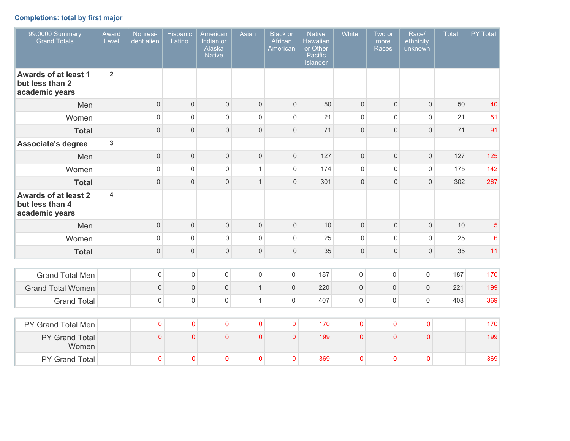# **Completions: total by first major**

| 99.0000 Summary<br><b>Grand Totals</b>                           | Award<br>Level | Nonresi-<br>dent alien | <b>Hispanic</b><br>Latino | American<br>Indian or<br>Alaska<br><b>Native</b> | Asian               | <b>Black or</b><br>African<br>American | <b>Native</b><br>Hawaiian<br>or Other<br>Pacific<br>Islander | White               | Two or<br>more<br>Races | Race/<br>ethnicity<br>unknown | <b>Total</b> | PY Total        |
|------------------------------------------------------------------|----------------|------------------------|---------------------------|--------------------------------------------------|---------------------|----------------------------------------|--------------------------------------------------------------|---------------------|-------------------------|-------------------------------|--------------|-----------------|
| <b>Awards of at least 1</b><br>but less than 2<br>academic years | $\overline{2}$ |                        |                           |                                                  |                     |                                        |                                                              |                     |                         |                               |              |                 |
| Men                                                              |                | $\mathsf{O}\xspace$    | $\mathsf{O}\xspace$       | $\mathbf 0$                                      | $\mathbf 0$         | $\mathsf{O}\xspace$                    | 50                                                           | $\mathsf{O}\xspace$ | $\mathbf 0$             | $\mathbf 0$                   | 50           | 40              |
| Women                                                            |                | $\mathsf 0$            | $\mathsf 0$               | $\mathbf 0$                                      | $\overline{0}$      | $\mathbf 0$                            | 21                                                           | $\mathsf{O}\xspace$ | $\mathsf 0$             | $\mathsf 0$                   | 21           | 51              |
| <b>Total</b>                                                     |                | $\mathsf{O}\xspace$    | $\mathbf 0$               | $\mathbf 0$                                      | $\overline{0}$      | $\mathbf 0$                            | 71                                                           | $\mathbf 0$         | $\mathbf 0$             | $\overline{0}$                | 71           | 91              |
| <b>Associate's degree</b>                                        | $\overline{3}$ |                        |                           |                                                  |                     |                                        |                                                              |                     |                         |                               |              |                 |
| Men                                                              |                | $\mathsf{O}\xspace$    | $\mathsf{O}\xspace$       | $\mathbf 0$                                      | $\mathbf 0$         | $\mathsf{O}\xspace$                    | 127                                                          | $\mathsf{O}\xspace$ | $\mathsf{O}\xspace$     | $\mathbf 0$                   | 127          | 125             |
| Women                                                            |                | $\mathsf{O}\xspace$    | $\mathsf{O}\xspace$       | $\mathbf 0$                                      | $\mathbf{1}$        | $\mathbf 0$                            | 174                                                          | $\mathsf{O}\xspace$ | $\mathbf 0$             | $\mathsf 0$                   | 175          | 142             |
| <b>Total</b>                                                     |                | $\mathsf{O}\xspace$    | $\mathsf{O}\xspace$       | $\mathbf 0$                                      | $\mathbf{1}$        | $\mathbf 0$                            | 301                                                          | $\mathbf 0$         | $\mathsf{O}\xspace$     | $\mathbf 0$                   | 302          | 267             |
| <b>Awards of at least 2</b><br>but less than 4<br>academic years | 4              |                        |                           |                                                  |                     |                                        |                                                              |                     |                         |                               |              |                 |
| Men                                                              |                | $\mathsf{O}\xspace$    | $\mathbf 0$               | $\mathbf 0$                                      | $\mathsf 0$         | $\mathsf{O}\xspace$                    | 10                                                           | $\mathsf{O}\xspace$ | $\mathsf{O}\xspace$     | $\mathbf 0$                   | 10           | $\overline{5}$  |
| Women                                                            |                | $\mathsf 0$            | $\mathsf{O}\xspace$       | $\mathbf 0$                                      | $\mathbf 0$         | $\mathbf 0$                            | 25                                                           | $\mathsf{O}\xspace$ | $\mathsf{O}\xspace$     | $\mathsf 0$                   | 25           | $6\phantom{1}6$ |
| <b>Total</b>                                                     |                | $\mathsf{O}\xspace$    | $\mathbf 0$               | $\mathbf 0$                                      | $\mathsf{O}\xspace$ | $\mathsf{O}\xspace$                    | 35                                                           | $\mathsf{O}\xspace$ | $\mathsf{O}\xspace$     | $\mathsf{O}\xspace$           | 35           | 11              |
|                                                                  |                |                        |                           |                                                  |                     |                                        |                                                              |                     |                         |                               |              |                 |
| <b>Grand Total Men</b>                                           |                | $\mathsf 0$            | $\mathsf{O}\xspace$       | $\mathsf{O}\xspace$                              | $\mathbf 0$         | $\mathsf{O}\xspace$                    | 187                                                          | $\mathsf{O}\xspace$ | $\mathsf{O}\xspace$     | $\mathsf{O}\xspace$           | 187          | 170             |
| <b>Grand Total Women</b>                                         |                | $\mathsf{O}\xspace$    | $\mathsf{O}\xspace$       | $\mathsf{O}\xspace$                              | $\mathbf{1}$        | $\mathsf{O}\xspace$                    | 220                                                          | $\mathsf{O}\xspace$ | $\mathsf{O}\xspace$     | $\mathsf{O}\xspace$           | 221          | 199             |
| <b>Grand Total</b>                                               |                | $\mathsf{O}\xspace$    | $\mathsf 0$               | $\mathbf 0$                                      | $\mathbf{1}$        | $\mathbf 0$                            | 407                                                          | $\mathsf 0$         | 0                       | $\mathsf{O}\xspace$           | 408          | 369             |
|                                                                  |                |                        |                           |                                                  |                     |                                        |                                                              |                     |                         |                               |              |                 |
| PY Grand Total Men                                               |                | $\mathbf 0$            | $\overline{0}$            | $\mathbf 0$                                      | $\overline{0}$      | $\overline{0}$                         | 170                                                          | $\overline{0}$      | $\overline{0}$          | $\mathbf 0$                   |              | 170             |
| PY Grand Total<br>Women                                          |                | $\overline{0}$         | $\overline{0}$            | $\overline{0}$                                   | $\Omega$            | $\overline{0}$                         | 199                                                          | $\overline{0}$      | $\overline{0}$          | $\overline{0}$                |              | 199             |
| PY Grand Total                                                   |                | $\mathbf 0$            | $\mathbf 0$               | $\mathbf{0}$                                     | $\mathbf{0}$        | $\Omega$                               | 369                                                          | $\mathbf{0}$        | 0                       | $\mathbf 0$                   |              | 369             |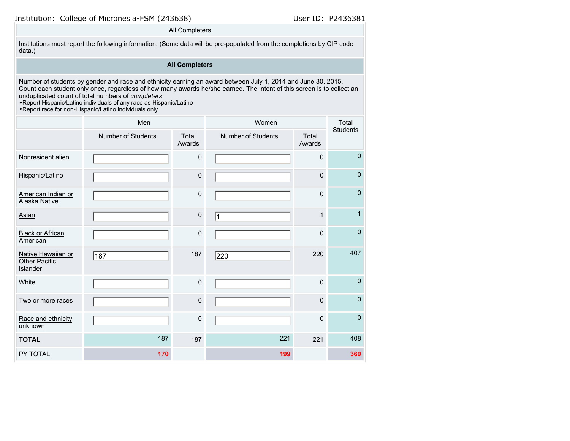Institution: College of Micronesia-FSM (243638) User ID: P2436381

### All Completers

Institutions must report the following information. (Some data will be pre-populated from the completions by CIP code data.)

# **All Completers**

Number of students by gender and race and ethnicity earning an award between July 1, 2014 and June 30, 2015. Count each student only once, regardless of how many awards he/she earned. The intent of this screen is to collect an unduplicated count of total numbers of *completers*.

•Report Hispanic/Latino individuals of any race as Hispanic/Latino

•Report race for non-Hispanic/Latino individuals only

|                                                        | Men                       |                 | Women                     |                 | Total<br><b>Students</b> |  |
|--------------------------------------------------------|---------------------------|-----------------|---------------------------|-----------------|--------------------------|--|
|                                                        | <b>Number of Students</b> | Total<br>Awards | <b>Number of Students</b> | Total<br>Awards |                          |  |
| Nonresident alien                                      |                           | $\pmb{0}$       |                           | 0               | $\mathbf{0}$             |  |
| Hispanic/Latino                                        |                           | $\mathbf 0$     |                           | $\mathbf 0$     | $\mathbf 0$              |  |
| American Indian or<br>Alaska Native                    |                           | $\pmb{0}$       |                           | $\mathbf 0$     | $\mathbf 0$              |  |
| Asian                                                  |                           | $\pmb{0}$       | 1                         | $\mathbf{1}$    | $\mathbf{1}$             |  |
| <b>Black or African</b><br>American                    |                           | $\mathbf 0$     |                           | $\mathbf 0$     | $\pmb{0}$                |  |
| Native Hawaiian or<br>Other Pacific<br><b>Islander</b> | 187                       | 187             | 220                       | 220             | 407                      |  |
| White                                                  |                           | $\mathbf 0$     |                           | $\mathbf{0}$    | $\mathbf 0$              |  |
| Two or more races                                      |                           | $\mathsf 0$     |                           | 0               | $\mathbf 0$              |  |
| Race and ethnicity<br>unknown                          |                           | $\mathbf 0$     |                           | $\mathbf 0$     | $\mathbf 0$              |  |
| <b>TOTAL</b>                                           | 187                       | 187             | 221                       | 221             | 408                      |  |
| PY TOTAL                                               | 170                       |                 | 199                       |                 | 369                      |  |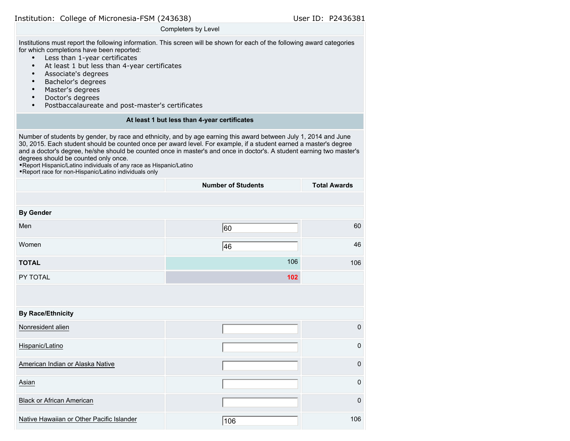| Institution: College of Micronesia-FSM (243638) |  |  |  |  |  |
|-------------------------------------------------|--|--|--|--|--|
|-------------------------------------------------|--|--|--|--|--|

#### Completers by Level

Institutions must report the following information. This screen will be shown for each of the following award categories for which completions have been reported:

- Less than 1-year certificates
- At least 1 but less than 4-year certificates
- Associate's degrees
- Bachelor's degrees
- Master's degrees
- Doctor's degrees
- Postbaccalaureate and post-master's certificates

# **At least 1 but less than 4-year certificates**

Number of students by gender, by race and ethnicity, and by age earning this award between July 1, 2014 and June 30, 2015. Each student should be counted once per award level. For example, if a student earned a master's degree and a doctor's degree, he/she should be counted once in master's and once in doctor's. A student earning two master's degrees should be counted only once.

•Report Hispanic/Latino individuals of any race as Hispanic/Latino

•Report race for non-Hispanic/Latino individuals only

|                                           | <b>Number of Students</b> | <b>Total Awards</b> |
|-------------------------------------------|---------------------------|---------------------|
|                                           |                           |                     |
| <b>By Gender</b>                          |                           |                     |
| Men                                       | 60                        | 60                  |
| Women                                     | 46                        | 46                  |
| <b>TOTAL</b>                              | 106                       | 106                 |
| PY TOTAL                                  | 102                       |                     |
|                                           |                           |                     |
| <b>By Race/Ethnicity</b>                  |                           |                     |
| Nonresident alien                         |                           | $\pmb{0}$           |
| Hispanic/Latino                           |                           | $\pmb{0}$           |
| American Indian or Alaska Native          |                           | $\mathsf 0$         |
| Asian                                     |                           | $\pmb{0}$           |
| <b>Black or African American</b>          |                           | $\mathbf 0$         |
| Native Hawaiian or Other Pacific Islander | 106                       | 106                 |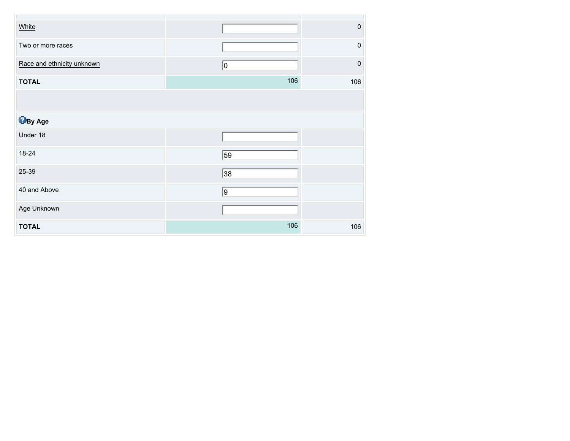| White                      |                 | $\pmb{0}$ |
|----------------------------|-----------------|-----------|
| Two or more races          |                 | $\pmb{0}$ |
| Race and ethnicity unknown | $ 0\rangle$     | $\pmb{0}$ |
| <b>TOTAL</b>               | 106             | 106       |
|                            |                 |           |
| <b>B</b> By Age            |                 |           |
| Under 18                   |                 |           |
| 18-24                      | $\overline{59}$ |           |
| 25-39                      | 38              |           |
| 40 and Above               | $\sqrt{9}$      |           |
| Age Unknown                |                 |           |
| <b>TOTAL</b>               | 106             | 106       |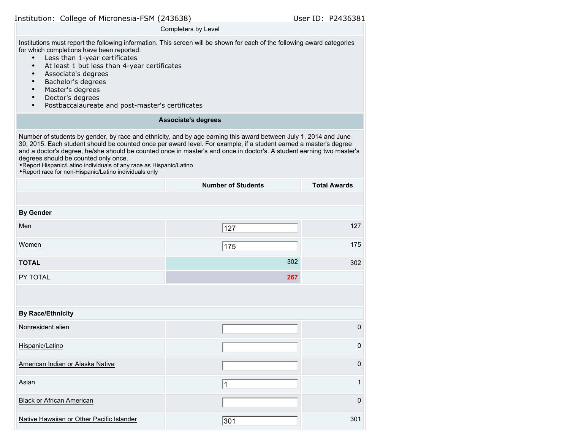| Institution: College of Micronesia-FSM (243638) |  |  |  |  |
|-------------------------------------------------|--|--|--|--|
|-------------------------------------------------|--|--|--|--|

## Completers by Level

Institutions must report the following information. This screen will be shown for each of the following award categories for which completions have been reported:

- Less than 1-year certificates
- At least 1 but less than 4-year certificates
- Associate's degrees
- Bachelor's degrees
- Master's degrees
- Doctor's degrees
- Postbaccalaureate and post-master's certificates

# **Associate's degrees**

Number of students by gender, by race and ethnicity, and by age earning this award between July 1, 2014 and June 30, 2015. Each student should be counted once per award level. For example, if a student earned a master's degree and a doctor's degree, he/she should be counted once in master's and once in doctor's. A student earning two master's degrees should be counted only once.

•Report Hispanic/Latino individuals of any race as Hispanic/Latino

•Report race for non-Hispanic/Latino individuals only

|                                           | <b>Number of Students</b> | <b>Total Awards</b> |
|-------------------------------------------|---------------------------|---------------------|
|                                           |                           |                     |
| <b>By Gender</b>                          |                           |                     |
| Men                                       | 127                       | 127                 |
| Women                                     | 175                       | 175                 |
| <b>TOTAL</b>                              | 302                       | 302                 |
| PY TOTAL                                  | 267                       |                     |
|                                           |                           |                     |
| <b>By Race/Ethnicity</b>                  |                           |                     |
| Nonresident alien                         |                           | $\pmb{0}$           |
| Hispanic/Latino                           |                           | $\pmb{0}$           |
| American Indian or Alaska Native          |                           | $\mathbf 0$         |
| Asian                                     | 1                         | $\mathbf{1}$        |
| <b>Black or African American</b>          |                           | $\mathbf 0$         |
| Native Hawaiian or Other Pacific Islander | 301                       | 301                 |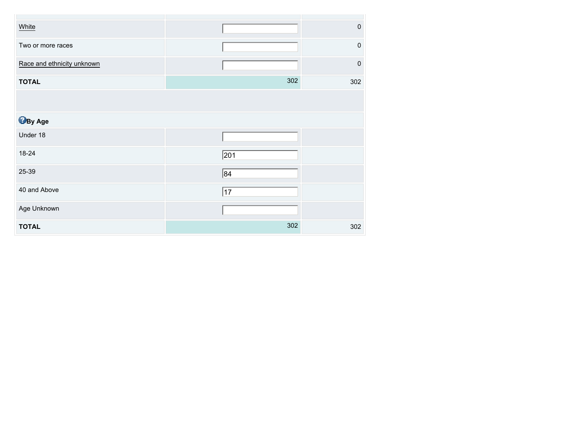| White                      |              | $\pmb{0}$ |
|----------------------------|--------------|-----------|
| Two or more races          |              | $\pmb{0}$ |
| Race and ethnicity unknown |              | $\pmb{0}$ |
| <b>TOTAL</b>               | 302          | 302       |
|                            |              |           |
| <b>B</b> By Age            |              |           |
| Under 18                   |              |           |
| 18-24                      | $\sqrt{201}$ |           |
| 25-39                      | 84           |           |
| 40 and Above               | $\sqrt{17}$  |           |
| Age Unknown                |              |           |
| <b>TOTAL</b>               | 302          | 302       |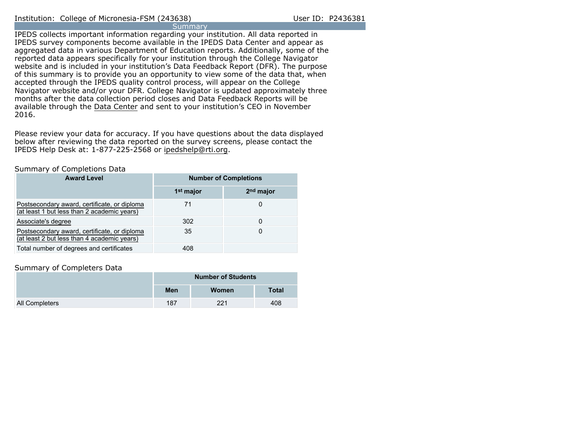IPEDS collects important information regarding your institution. All data reported in IPEDS survey components become available in the IPEDS Data Center and appear as aggregated data in various Department of Education reports. Additionally, some of the reported data appears specifically for your institution through the College Navigator website and is included in your institution's Data Feedback Report (DFR). The purpose of this summary is to provide you an opportunity to view some of the data that, when accepted through the IPEDS quality control process, will appear on the College Navigator website and/or your DFR. College Navigator is updated approximately three months after the data collection period closes and Data Feedback Reports will be available through the [Data Center](http://nces.ed.gov/ipeds/datacenter/) and sent to your institution's CEO in November 2016.

Please review your data for accuracy. If you have questions about the data displayed below after reviewing the data reported on the survey screens, please contact the IPEDS Help Desk at: 1-877-225-2568 or ipedshelp@rti.org.

## Summary of Completions Data

| <b>Award Level</b>                                                                          | <b>Number of Completions</b> |                       |  |  |  |
|---------------------------------------------------------------------------------------------|------------------------------|-----------------------|--|--|--|
|                                                                                             | 1 <sup>st</sup> major        | 2 <sup>nd</sup> major |  |  |  |
| Postsecondary award, certificate, or diploma<br>(at least 1 but less than 2 academic years) | 71                           |                       |  |  |  |
| Associate's degree                                                                          | 302                          |                       |  |  |  |
| Postsecondary award, certificate, or diploma<br>(at least 2 but less than 4 academic years) | 35                           |                       |  |  |  |
| Total number of degrees and certificates                                                    | 408                          |                       |  |  |  |

## Summary of Completers Data

|                | <b>Number of Students</b> |       |              |  |
|----------------|---------------------------|-------|--------------|--|
|                | Men                       | Women | <b>Total</b> |  |
| All Completers | 187                       | 221   | 408          |  |